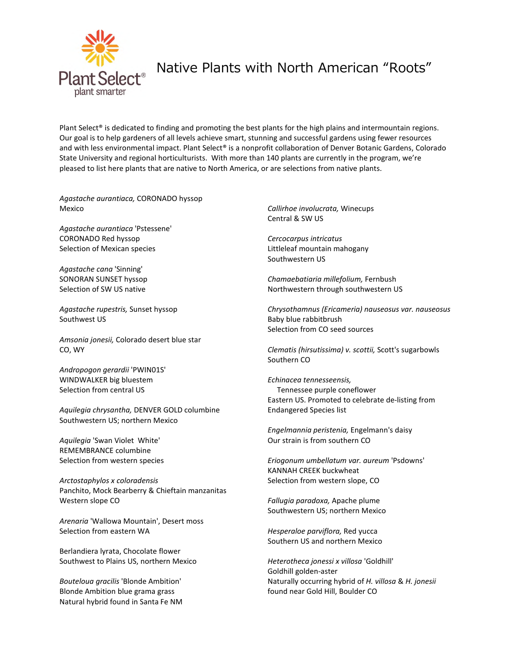

## Native Plants with North American "Roots"

Plant Select<sup>®</sup> is dedicated to finding and promoting the best plants for the high plains and intermountain regions. Our goal is to help gardeners of all levels achieve smart, stunning and successful gardens using fewer resources and with less environmental impact. Plant Select® is a nonprofit collaboration of Denver Botanic Gardens, Colorado State University and regional horticulturists. With more than 140 plants are currently in the program, we're pleased to list here plants that are native to North America, or are selections from native plants.

*Agastache aurantiaca,* CORONADO hyssop Mexico

*Agastache aurantiaca* 'Pstessene' CORONADO Red hyssop Selection of Mexican species

*Agastache cana* 'Sinning' SONORAN SUNSET hyssop Selection of SW US native

*Agastache rupestris,* Sunset hyssop Southwest US

*Amsonia jonesii,* Colorado desert blue star CO, WY

*Andropogon gerardii* 'PWIN01S' WINDWALKER big bluestem Selection from central US

*Aquilegia chrysantha,* DENVER GOLD columbine Southwestern US; northern Mexico

*Aquilegia* 'Swan Violet White' REMEMBRANCE columbine Selection from western species

*Arctostaphylos x coloradensis*  Panchito, Mock Bearberry & Chieftain manzanitas Western slope CO

*Arenaria* 'Wallowa Mountain', Desert moss Selection from eastern WA

Berlandiera lyrata, Chocolate flower Southwest to Plains US, northern Mexico

*Bouteloua gracilis* 'Blonde Ambition' Blonde Ambition blue grama grass Natural hybrid found in Santa Fe NM *Callirhoe involucrata,* Winecups Central & SW US

*Cercocarpus intricatus*  Littleleaf mountain mahogany Southwestern US

*Chamaebatiaria millefolium,* Fernbush Northwestern through southwestern US

*Chrysothamnus (Ericameria) nauseosus var. nauseosus*  Baby blue rabbitbrush Selection from CO seed sources

*Clematis (hirsutissima) v. scottii,* Scott's sugarbowls Southern CO

*Echinacea tennesseensis,*  Tennessee purple coneflower Eastern US. Promoted to celebrate de-listing from Endangered Species list

*Engelmannia peristenia,* Engelmann's daisy Our strain is from southern CO

*Eriogonum umbellatum var. aureum* 'Psdowns' KANNAH CREEK buckwheat Selection from western slope, CO

*Fallugia paradoxa,* Apache plume Southwestern US; northern Mexico

*Hesperaloe parviflora,* Red yucca Southern US and northern Mexico

*Heterotheca jonessi x villosa* 'Goldhill' Goldhill golden-aster Naturally occurring hybrid of *H. villosa* & *H. jonesii* found near Gold Hill, Boulder CO